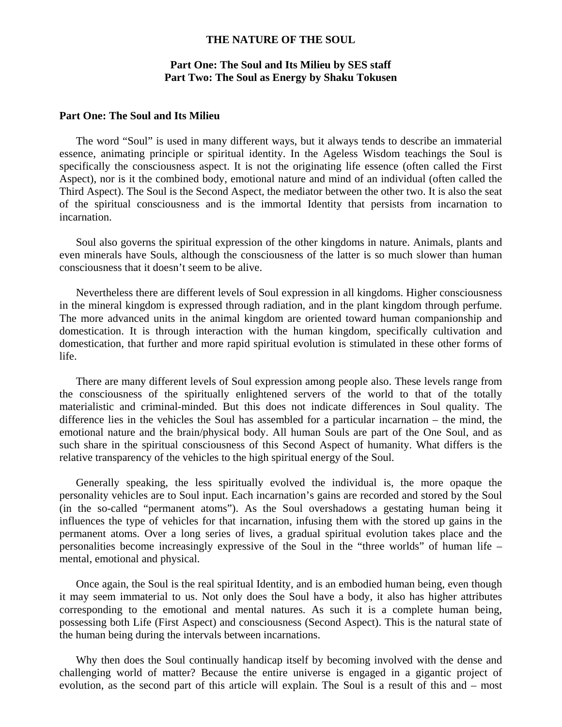## **THE NATURE OF THE SOUL**

## **Part One: The Soul and Its Milieu by SES staff Part Two: The Soul as Energy by Shaku Tokusen**

## **Part One: The Soul and Its Milieu**

 The word "Soul" is used in many different ways, but it always tends to describe an immaterial essence, animating principle or spiritual identity. In the Ageless Wisdom teachings the Soul is specifically the consciousness aspect. It is not the originating life essence (often called the First Aspect), nor is it the combined body, emotional nature and mind of an individual (often called the Third Aspect). The Soul is the Second Aspect, the mediator between the other two. It is also the seat of the spiritual consciousness and is the immortal Identity that persists from incarnation to incarnation.

 Soul also governs the spiritual expression of the other kingdoms in nature. Animals, plants and even minerals have Souls, although the consciousness of the latter is so much slower than human consciousness that it doesn't seem to be alive.

 Nevertheless there are different levels of Soul expression in all kingdoms. Higher consciousness in the mineral kingdom is expressed through radiation, and in the plant kingdom through perfume. The more advanced units in the animal kingdom are oriented toward human companionship and domestication. It is through interaction with the human kingdom, specifically cultivation and domestication, that further and more rapid spiritual evolution is stimulated in these other forms of life.

 There are many different levels of Soul expression among people also. These levels range from the consciousness of the spiritually enlightened servers of the world to that of the totally materialistic and criminal-minded. But this does not indicate differences in Soul quality. The difference lies in the vehicles the Soul has assembled for a particular incarnation – the mind, the emotional nature and the brain/physical body. All human Souls are part of the One Soul, and as such share in the spiritual consciousness of this Second Aspect of humanity. What differs is the relative transparency of the vehicles to the high spiritual energy of the Soul.

 Generally speaking, the less spiritually evolved the individual is, the more opaque the personality vehicles are to Soul input. Each incarnation's gains are recorded and stored by the Soul (in the so-called "permanent atoms"). As the Soul overshadows a gestating human being it influences the type of vehicles for that incarnation, infusing them with the stored up gains in the permanent atoms. Over a long series of lives, a gradual spiritual evolution takes place and the personalities become increasingly expressive of the Soul in the "three worlds" of human life – mental, emotional and physical.

 Once again, the Soul is the real spiritual Identity, and is an embodied human being, even though it may seem immaterial to us. Not only does the Soul have a body, it also has higher attributes corresponding to the emotional and mental natures. As such it is a complete human being, possessing both Life (First Aspect) and consciousness (Second Aspect). This is the natural state of the human being during the intervals between incarnations.

 Why then does the Soul continually handicap itself by becoming involved with the dense and challenging world of matter? Because the entire universe is engaged in a gigantic project of evolution, as the second part of this article will explain. The Soul is a result of this and – most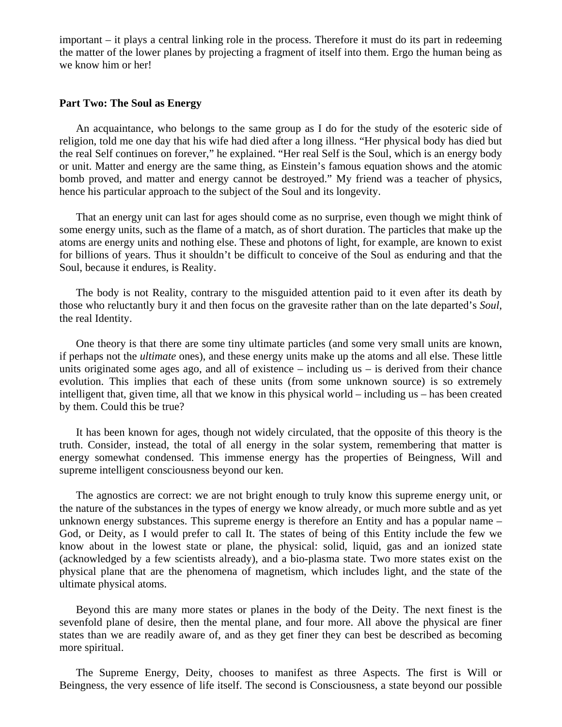important – it plays a central linking role in the process. Therefore it must do its part in redeeming the matter of the lower planes by projecting a fragment of itself into them. Ergo the human being as we know him or her!

## **Part Two: The Soul as Energy**

 An acquaintance, who belongs to the same group as I do for the study of the esoteric side of religion, told me one day that his wife had died after a long illness. "Her physical body has died but the real Self continues on forever," he explained. "Her real Self is the Soul, which is an energy body or unit. Matter and energy are the same thing, as Einstein's famous equation shows and the atomic bomb proved, and matter and energy cannot be destroyed." My friend was a teacher of physics, hence his particular approach to the subject of the Soul and its longevity.

 That an energy unit can last for ages should come as no surprise, even though we might think of some energy units, such as the flame of a match, as of short duration. The particles that make up the atoms are energy units and nothing else. These and photons of light, for example, are known to exist for billions of years. Thus it shouldn't be difficult to conceive of the Soul as enduring and that the Soul, because it endures, is Reality.

 The body is not Reality, contrary to the misguided attention paid to it even after its death by those who reluctantly bury it and then focus on the gravesite rather than on the late departed's *Soul*, the real Identity.

 One theory is that there are some tiny ultimate particles (and some very small units are known, if perhaps not the *ultimate* ones), and these energy units make up the atoms and all else. These little units originated some ages ago, and all of existence  $-$  including us  $-$  is derived from their chance evolution. This implies that each of these units (from some unknown source) is so extremely intelligent that, given time, all that we know in this physical world – including us – has been created by them. Could this be true?

 It has been known for ages, though not widely circulated, that the opposite of this theory is the truth. Consider, instead, the total of all energy in the solar system, remembering that matter is energy somewhat condensed. This immense energy has the properties of Beingness, Will and supreme intelligent consciousness beyond our ken.

 The agnostics are correct: we are not bright enough to truly know this supreme energy unit, or the nature of the substances in the types of energy we know already, or much more subtle and as yet unknown energy substances. This supreme energy is therefore an Entity and has a popular name – God, or Deity, as I would prefer to call It. The states of being of this Entity include the few we know about in the lowest state or plane, the physical: solid, liquid, gas and an ionized state (acknowledged by a few scientists already), and a bio-plasma state. Two more states exist on the physical plane that are the phenomena of magnetism, which includes light, and the state of the ultimate physical atoms.

 Beyond this are many more states or planes in the body of the Deity. The next finest is the sevenfold plane of desire, then the mental plane, and four more. All above the physical are finer states than we are readily aware of, and as they get finer they can best be described as becoming more spiritual.

 The Supreme Energy, Deity, chooses to manifest as three Aspects. The first is Will or Beingness, the very essence of life itself. The second is Consciousness, a state beyond our possible